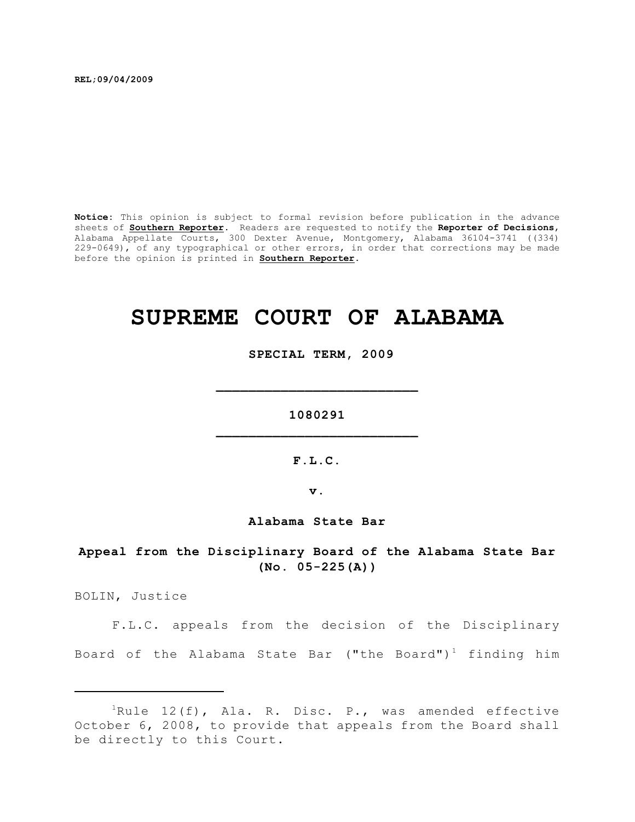**REL;09/04/2009**

**Notice:** This opinion is subject to formal revision before publication in the advance sheets of **Southern Reporter**. Readers are requested to notify the **Reporter of Decisions**, Alabama Appellate Courts, 300 Dexter Avenue, Montgomery, Alabama 36104-3741 ((334) 229-0649), of any typographical or other errors, in order that corrections may be made before the opinion is printed in **Southern Reporter**.

# **SUPREME COURT OF ALABAMA**

 **SPECIAL TERM, 2009**

**1080291 \_\_\_\_\_\_\_\_\_\_\_\_\_\_\_\_\_\_\_\_\_\_\_\_\_**

**\_\_\_\_\_\_\_\_\_\_\_\_\_\_\_\_\_\_\_\_\_\_\_\_\_**

**F.L.C.**

**v.**

**Alabama State Bar**

**Appeal from the Disciplinary Board of the Alabama State Bar (No. 05-225(A))**

BOLIN, Justice

F.L.C. appeals from the decision of the Disciplinary Board of the Alabama State Bar ("the Board")<sup>1</sup> finding him

<sup>&</sup>lt;sup>1</sup>Rule 12(f), Ala. R. Disc. P., was amended effective October 6, 2008, to provide that appeals from the Board shall be directly to this Court.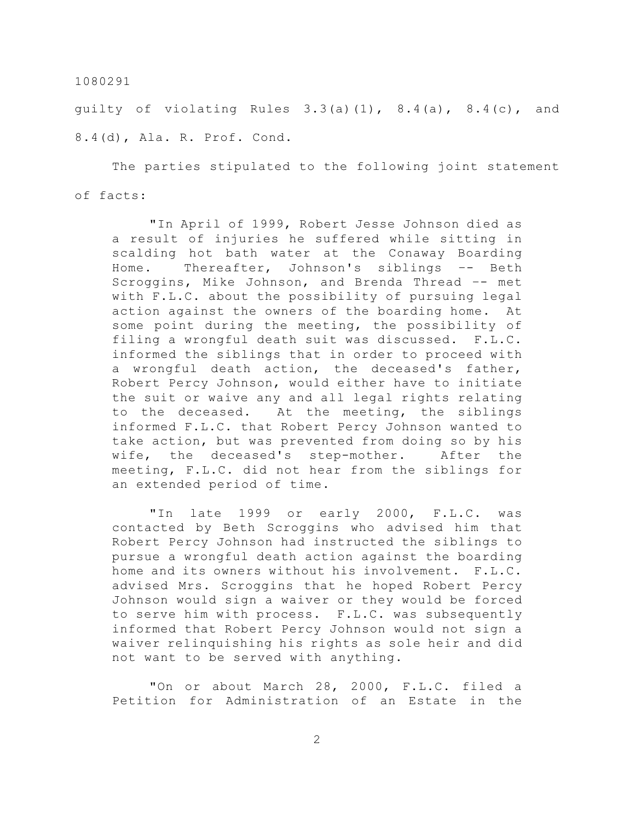quilty of violating Rules  $3.3(a)(1)$ ,  $8.4(a)$ ,  $8.4(c)$ , and 8.4(d), Ala. R. Prof. Cond.

The parties stipulated to the following joint statement of facts:

"In April of 1999, Robert Jesse Johnson died as a result of injuries he suffered while sitting in scalding hot bath water at the Conaway Boarding Home. Thereafter, Johnson's siblings –- Beth Scroggins, Mike Johnson, and Brenda Thread –- met with F.L.C. about the possibility of pursuing legal action against the owners of the boarding home. At some point during the meeting, the possibility of filing a wrongful death suit was discussed. F.L.C. informed the siblings that in order to proceed with a wrongful death action, the deceased's father, Robert Percy Johnson, would either have to initiate the suit or waive any and all legal rights relating to the deceased. At the meeting, the siblings informed F.L.C. that Robert Percy Johnson wanted to take action, but was prevented from doing so by his wife, the deceased's step-mother. After the meeting, F.L.C. did not hear from the siblings for an extended period of time.

"In late 1999 or early 2000, F.L.C. was contacted by Beth Scroggins who advised him that Robert Percy Johnson had instructed the siblings to pursue a wrongful death action against the boarding home and its owners without his involvement. F.L.C. advised Mrs. Scroggins that he hoped Robert Percy Johnson would sign a waiver or they would be forced to serve him with process. F.L.C. was subsequently informed that Robert Percy Johnson would not sign a waiver relinquishing his rights as sole heir and did not want to be served with anything.

"On or about March 28, 2000, F.L.C. filed a Petition for Administration of an Estate in the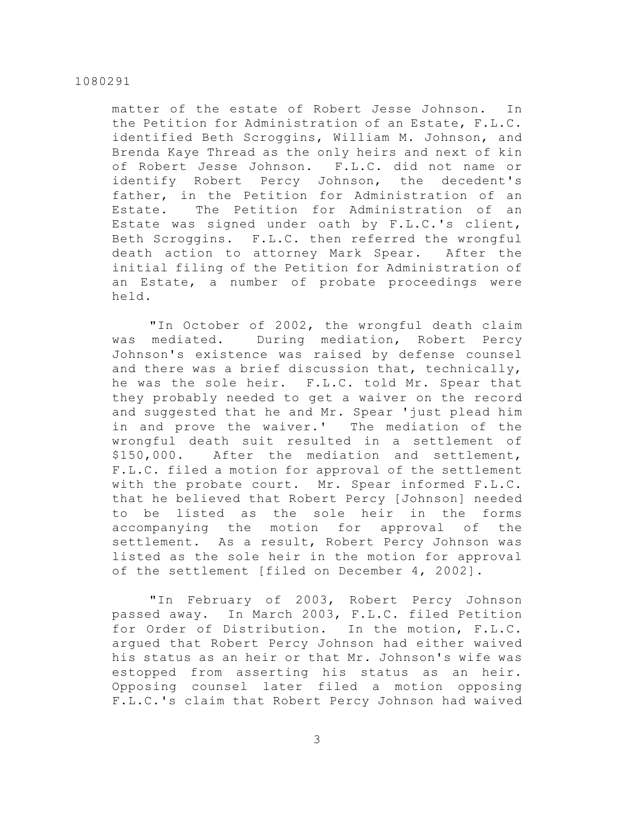matter of the estate of Robert Jesse Johnson. In the Petition for Administration of an Estate, F.L.C. identified Beth Scroggins, William M. Johnson, and Brenda Kaye Thread as the only heirs and next of kin of Robert Jesse Johnson. F.L.C. did not name or identify Robert Percy Johnson, the decedent's father, in the Petition for Administration of an Estate. The Petition for Administration of an Estate was signed under oath by F.L.C.'s client, Beth Scroggins. F.L.C. then referred the wrongful death action to attorney Mark Spear. After the initial filing of the Petition for Administration of an Estate, a number of probate proceedings were held.

"In October of 2002, the wrongful death claim was mediated. During mediation, Robert Percy Johnson's existence was raised by defense counsel and there was a brief discussion that, technically, he was the sole heir. F.L.C. told Mr. Spear that they probably needed to get a waiver on the record and suggested that he and Mr. Spear 'just plead him in and prove the waiver.' The mediation of the wrongful death suit resulted in a settlement of \$150,000. After the mediation and settlement, F.L.C. filed a motion for approval of the settlement with the probate court. Mr. Spear informed F.L.C. that he believed that Robert Percy [Johnson] needed to be listed as the sole heir in the forms accompanying the motion for approval of the settlement. As a result, Robert Percy Johnson was listed as the sole heir in the motion for approval of the settlement [filed on December 4, 2002].

"In February of 2003, Robert Percy Johnson passed away. In March 2003, F.L.C. filed Petition for Order of Distribution. In the motion, F.L.C. argued that Robert Percy Johnson had either waived his status as an heir or that Mr. Johnson's wife was estopped from asserting his status as an heir. Opposing counsel later filed a motion opposing F.L.C.'s claim that Robert Percy Johnson had waived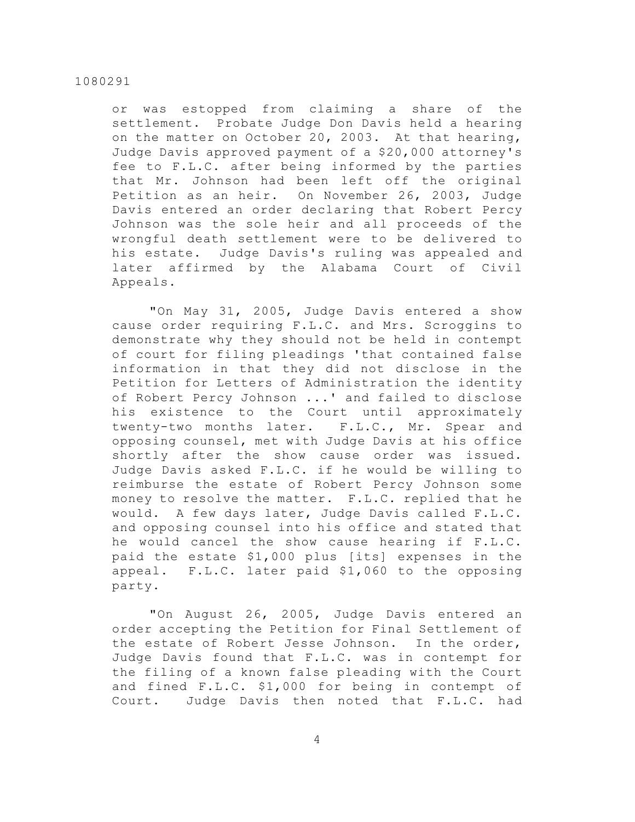or was estopped from claiming a share of the settlement. Probate Judge Don Davis held a hearing on the matter on October 20, 2003. At that hearing, Judge Davis approved payment of a \$20,000 attorney's fee to F.L.C. after being informed by the parties that Mr. Johnson had been left off the original Petition as an heir. On November 26, 2003, Judge Davis entered an order declaring that Robert Percy Johnson was the sole heir and all proceeds of the wrongful death settlement were to be delivered to his estate. Judge Davis's ruling was appealed and later affirmed by the Alabama Court of Civil Appeals.

"On May 31, 2005, Judge Davis entered a show cause order requiring F.L.C. and Mrs. Scroggins to demonstrate why they should not be held in contempt of court for filing pleadings 'that contained false information in that they did not disclose in the Petition for Letters of Administration the identity of Robert Percy Johnson ...' and failed to disclose his existence to the Court until approximately twenty-two months later. F.L.C., Mr. Spear and opposing counsel, met with Judge Davis at his office shortly after the show cause order was issued. Judge Davis asked F.L.C. if he would be willing to reimburse the estate of Robert Percy Johnson some money to resolve the matter. F.L.C. replied that he would. A few days later, Judge Davis called F.L.C. and opposing counsel into his office and stated that he would cancel the show cause hearing if F.L.C. paid the estate \$1,000 plus [its] expenses in the appeal. F.L.C. later paid \$1,060 to the opposing party.

"On August 26, 2005, Judge Davis entered an order accepting the Petition for Final Settlement of the estate of Robert Jesse Johnson. In the order, Judge Davis found that F.L.C. was in contempt for the filing of a known false pleading with the Court and fined F.L.C. \$1,000 for being in contempt of Court. Judge Davis then noted that F.L.C. had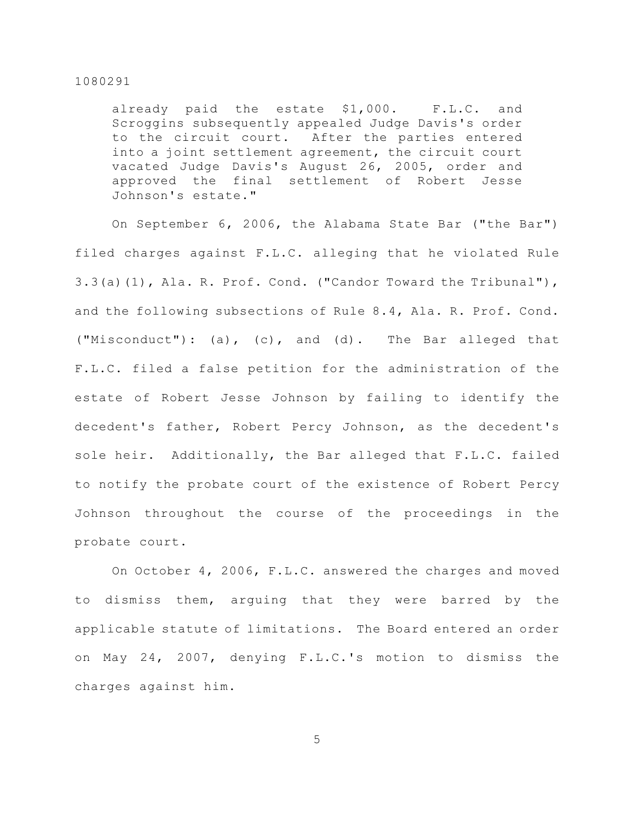already paid the estate \$1,000. F.L.C. and Scroggins subsequently appealed Judge Davis's order to the circuit court. After the parties entered into a joint settlement agreement, the circuit court vacated Judge Davis's August 26, 2005, order and approved the final settlement of Robert Jesse Johnson's estate."

On September 6, 2006, the Alabama State Bar ("the Bar") filed charges against F.L.C. alleging that he violated Rule  $3.3(a)(1)$ , Ala. R. Prof. Cond. ("Candor Toward the Tribunal"), and the following subsections of Rule 8.4, Ala. R. Prof. Cond. ("Misconduct"): (a), (c), and (d). The Bar alleged that F.L.C. filed a false petition for the administration of the estate of Robert Jesse Johnson by failing to identify the decedent's father, Robert Percy Johnson, as the decedent's sole heir. Additionally, the Bar alleged that F.L.C. failed to notify the probate court of the existence of Robert Percy Johnson throughout the course of the proceedings in the probate court.

On October 4, 2006, F.L.C. answered the charges and moved to dismiss them, arguing that they were barred by the applicable statute of limitations. The Board entered an order on May 24, 2007, denying F.L.C.'s motion to dismiss the charges against him.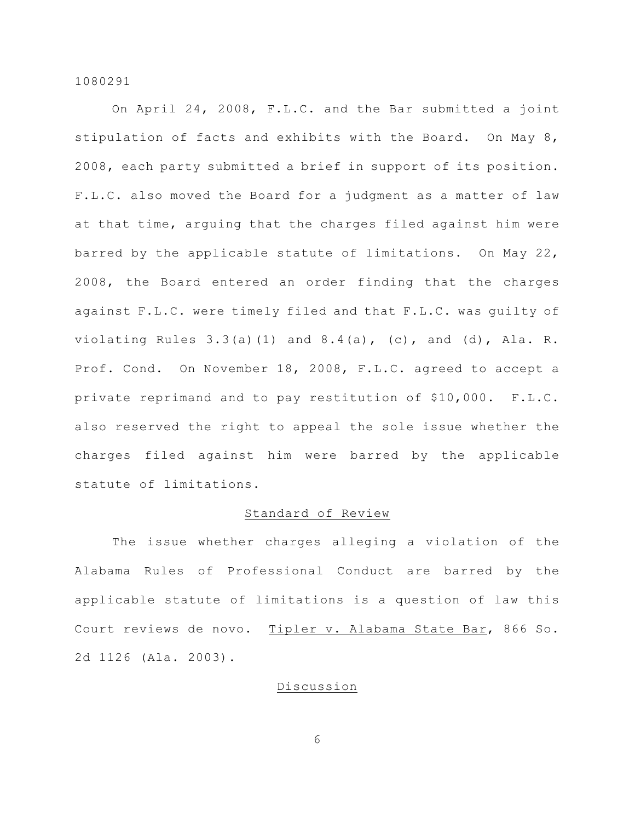On April 24, 2008, F.L.C. and the Bar submitted a joint stipulation of facts and exhibits with the Board. On May 8, 2008, each party submitted a brief in support of its position. F.L.C. also moved the Board for a judgment as a matter of law at that time, arguing that the charges filed against him were barred by the applicable statute of limitations. On May 22, 2008, the Board entered an order finding that the charges against F.L.C. were timely filed and that F.L.C. was guilty of violating Rules  $3.3(a)(1)$  and  $8.4(a)$ , (c), and (d), Ala. R. Prof. Cond. On November 18, 2008, F.L.C. agreed to accept a private reprimand and to pay restitution of \$10,000. F.L.C. also reserved the right to appeal the sole issue whether the charges filed against him were barred by the applicable statute of limitations.

## Standard of Review

The issue whether charges alleging a violation of the Alabama Rules of Professional Conduct are barred by the applicable statute of limitations is a question of law this Court reviews de novo. Tipler v. Alabama State Bar, 866 So. 2d 1126 (Ala. 2003).

## Discussion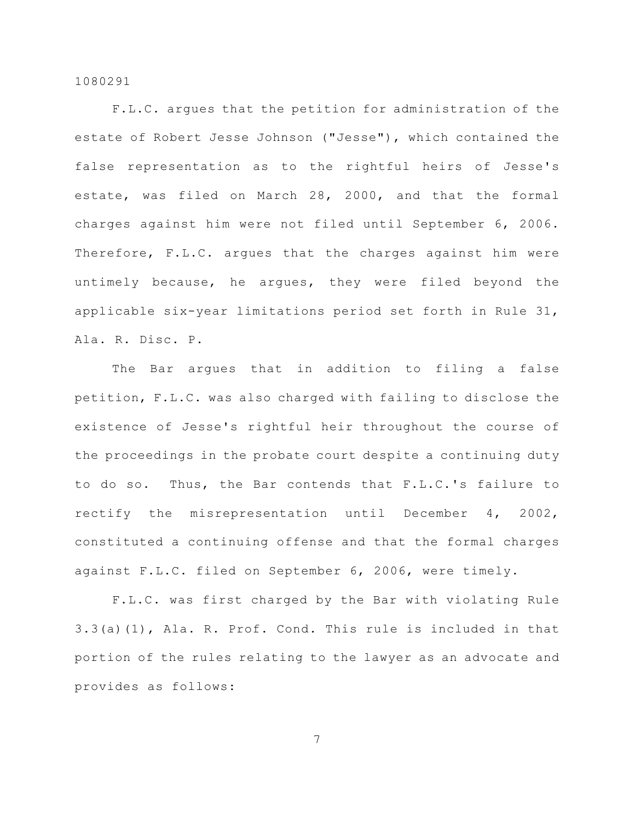F.L.C. argues that the petition for administration of the estate of Robert Jesse Johnson ("Jesse"), which contained the false representation as to the rightful heirs of Jesse's estate, was filed on March 28, 2000, and that the formal charges against him were not filed until September 6, 2006. Therefore, F.L.C. argues that the charges against him were untimely because, he argues, they were filed beyond the applicable six-year limitations period set forth in Rule 31, Ala. R. Disc. P.

The Bar argues that in addition to filing a false petition, F.L.C. was also charged with failing to disclose the existence of Jesse's rightful heir throughout the course of the proceedings in the probate court despite a continuing duty to do so. Thus, the Bar contends that F.L.C.'s failure to rectify the misrepresentation until December 4, 2002, constituted a continuing offense and that the formal charges against F.L.C. filed on September 6, 2006, were timely.

F.L.C. was first charged by the Bar with violating Rule 3.3(a)(1), Ala. R. Prof. Cond. This rule is included in that portion of the rules relating to the lawyer as an advocate and provides as follows: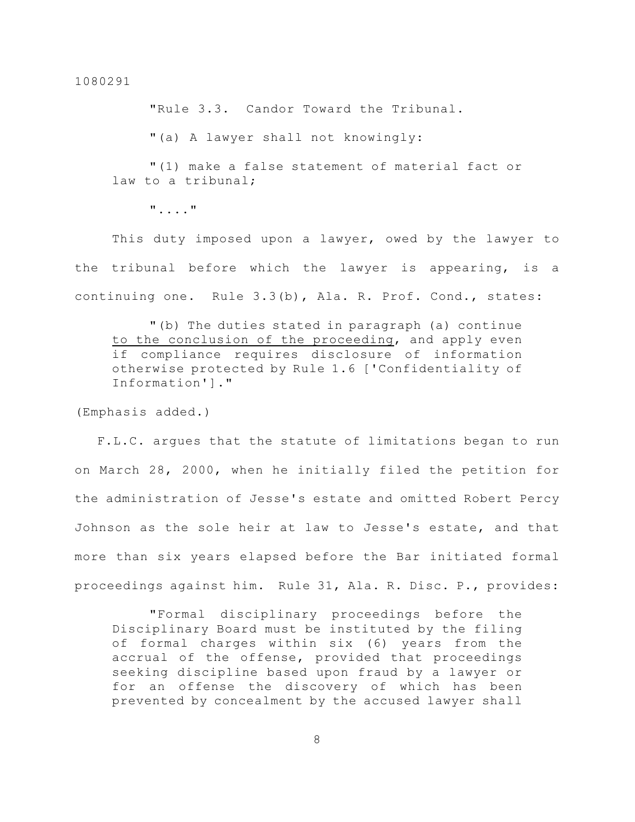"Rule 3.3. Candor Toward the Tribunal.

"(a) A lawyer shall not knowingly:

"(1) make a false statement of material fact or law to a tribunal;

"...."

This duty imposed upon a lawyer, owed by the lawyer to the tribunal before which the lawyer is appearing, is a continuing one. Rule 3.3(b), Ala. R. Prof. Cond., states:

"(b) The duties stated in paragraph (a) continue to the conclusion of the proceeding, and apply even if compliance requires disclosure of information otherwise protected by Rule 1.6 ['Confidentiality of Information']."

(Emphasis added.)

 F.L.C. argues that the statute of limitations began to run on March 28, 2000, when he initially filed the petition for the administration of Jesse's estate and omitted Robert Percy Johnson as the sole heir at law to Jesse's estate, and that more than six years elapsed before the Bar initiated formal proceedings against him. Rule 31, Ala. R. Disc. P., provides:

"Formal disciplinary proceedings before the Disciplinary Board must be instituted by the filing of formal charges within six (6) years from the accrual of the offense, provided that proceedings seeking discipline based upon fraud by a lawyer or for an offense the discovery of which has been prevented by concealment by the accused lawyer shall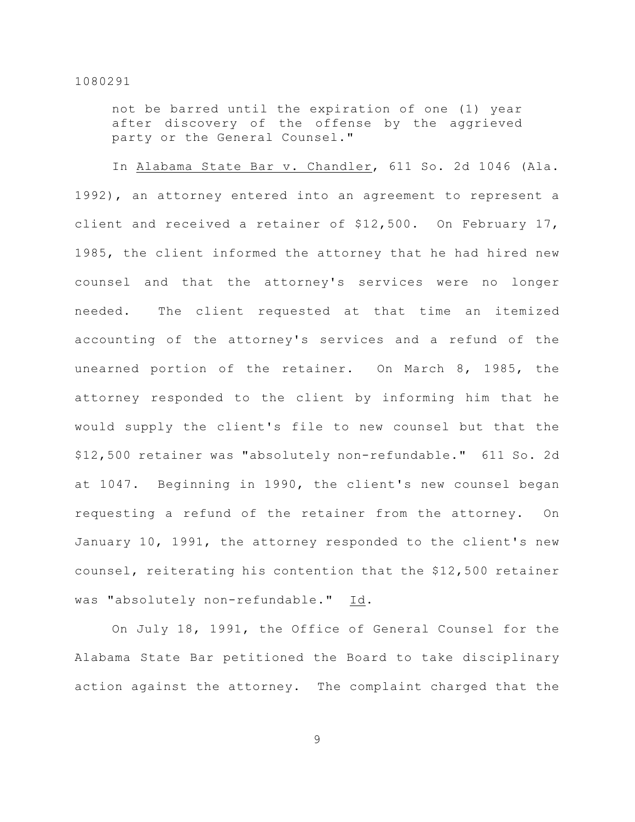not be barred until the expiration of one (1) year after discovery of the offense by the aggrieved party or the General Counsel."

In Alabama State Bar v. Chandler, 611 So. 2d 1046 (Ala. 1992), an attorney entered into an agreement to represent a client and received a retainer of \$12,500. On February 17, 1985, the client informed the attorney that he had hired new counsel and that the attorney's services were no longer needed. The client requested at that time an itemized accounting of the attorney's services and a refund of the unearned portion of the retainer. On March 8, 1985, the attorney responded to the client by informing him that he would supply the client's file to new counsel but that the \$12,500 retainer was "absolutely non-refundable." 611 So. 2d at 1047. Beginning in 1990, the client's new counsel began requesting a refund of the retainer from the attorney. On January 10, 1991, the attorney responded to the client's new counsel, reiterating his contention that the \$12,500 retainer was "absolutely non-refundable." Id.

On July 18, 1991, the Office of General Counsel for the Alabama State Bar petitioned the Board to take disciplinary action against the attorney. The complaint charged that the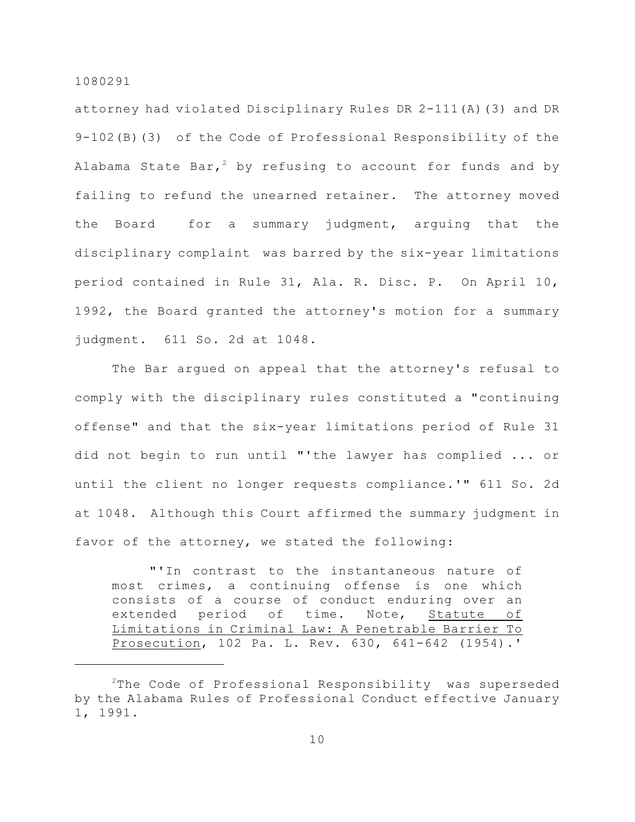attorney had violated Disciplinary Rules DR 2-111(A)(3) and DR 9-102(B)(3) of the Code of Professional Responsibility of the Alabama State Bar,<sup>2</sup> by refusing to account for funds and by failing to refund the unearned retainer. The attorney moved the Board for a summary judgment, arguing that the disciplinary complaint was barred by the six-year limitations period contained in Rule 31, Ala. R. Disc. P. On April 10, 1992, the Board granted the attorney's motion for a summary judgment. 611 So. 2d at 1048.

The Bar argued on appeal that the attorney's refusal to comply with the disciplinary rules constituted a "continuing offense" and that the six-year limitations period of Rule 31 did not begin to run until "'the lawyer has complied ... or until the client no longer requests compliance.'" 611 So. 2d at 1048. Although this Court affirmed the summary judgment in favor of the attorney, we stated the following:

"'In contrast to the instantaneous nature of most crimes, a continuing offense is one which consists of a course of conduct enduring over an extended period of time. Note, Statute of Limitations in Criminal Law: A Penetrable Barrier To Prosecution, 102 Pa. L. Rev. 630, 641-642 (1954).'

 $2$ The Code of Professional Responsibility was superseded by the Alabama Rules of Professional Conduct effective January 1, 1991.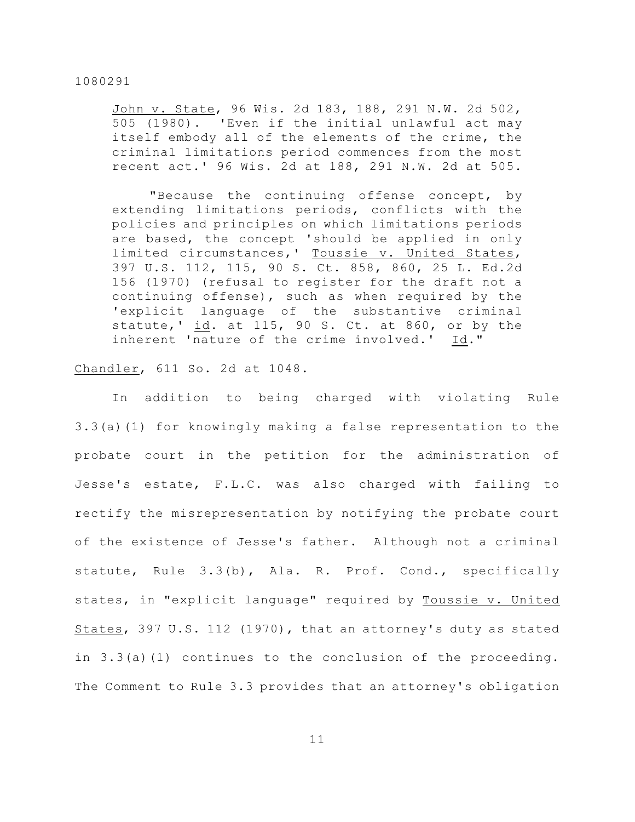John v. State, 96 Wis. 2d 183, 188, 291 N.W. 2d 502, 505 (1980). 'Even if the initial unlawful act may itself embody all of the elements of the crime, the criminal limitations period commences from the most recent act.' 96 Wis. 2d at 188, 291 N.W. 2d at 505.

"Because the continuing offense concept, by extending limitations periods, conflicts with the policies and principles on which limitations periods are based, the concept 'should be applied in only limited circumstances,' Toussie v. United States, 397 U.S. 112, 115, 90 S. Ct. 858, 860, 25 L. Ed.2d 156 (1970) (refusal to register for the draft not a continuing offense), such as when required by the 'explicit language of the substantive criminal statute,' id. at 115, 90 S. Ct. at 860, or by the inherent 'nature of the crime involved.' Id."

## Chandler, 611 So. 2d at 1048.

In addition to being charged with violating Rule 3.3(a)(1) for knowingly making a false representation to the probate court in the petition for the administration of Jesse's estate, F.L.C. was also charged with failing to rectify the misrepresentation by notifying the probate court of the existence of Jesse's father. Although not a criminal statute, Rule 3.3(b), Ala. R. Prof. Cond., specifically states, in "explicit language" required by Toussie v. United States, 397 U.S. 112 (1970), that an attorney's duty as stated in 3.3(a)(1) continues to the conclusion of the proceeding. The Comment to Rule 3.3 provides that an attorney's obligation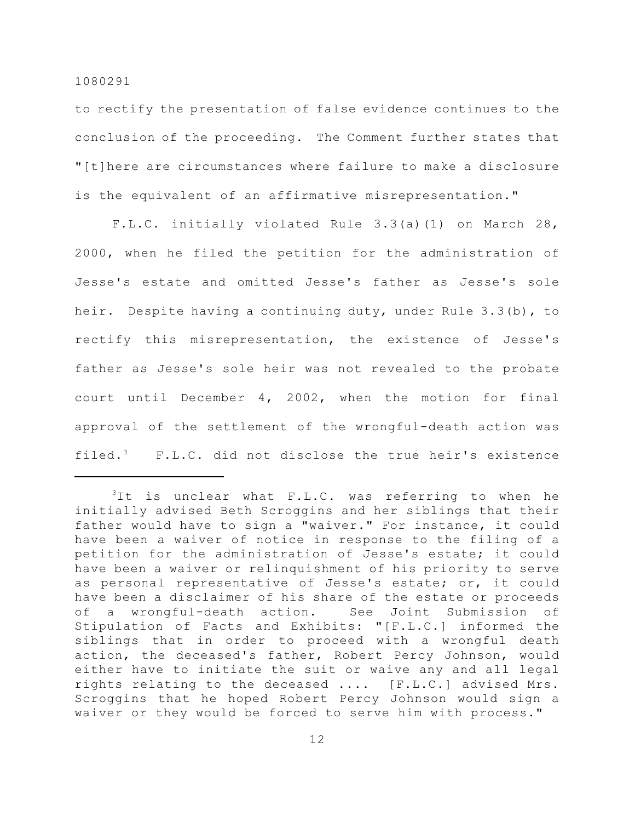to rectify the presentation of false evidence continues to the conclusion of the proceeding. The Comment further states that "[t]here are circumstances where failure to make a disclosure is the equivalent of an affirmative misrepresentation."

F.L.C. initially violated Rule 3.3(a)(1) on March 28, 2000, when he filed the petition for the administration of Jesse's estate and omitted Jesse's father as Jesse's sole heir. Despite having a continuing duty, under Rule 3.3(b), to rectify this misrepresentation, the existence of Jesse's father as Jesse's sole heir was not revealed to the probate court until December 4, 2002, when the motion for final approval of the settlement of the wrongful-death action was filed.<sup>3</sup> F.L.C. did not disclose the true heir's existence

 $3$ It is unclear what F.L.C. was referring to when he initially advised Beth Scroggins and her siblings that their father would have to sign a "waiver." For instance, it could have been a waiver of notice in response to the filing of a petition for the administration of Jesse's estate; it could have been a waiver or relinquishment of his priority to serve as personal representative of Jesse's estate; or, it could have been a disclaimer of his share of the estate or proceeds of a wrongful-death action. See Joint Submission of Stipulation of Facts and Exhibits: "[F.L.C.] informed the siblings that in order to proceed with a wrongful death action, the deceased's father, Robert Percy Johnson, would either have to initiate the suit or waive any and all legal rights relating to the deceased .... [F.L.C.] advised Mrs. Scroggins that he hoped Robert Percy Johnson would sign a waiver or they would be forced to serve him with process."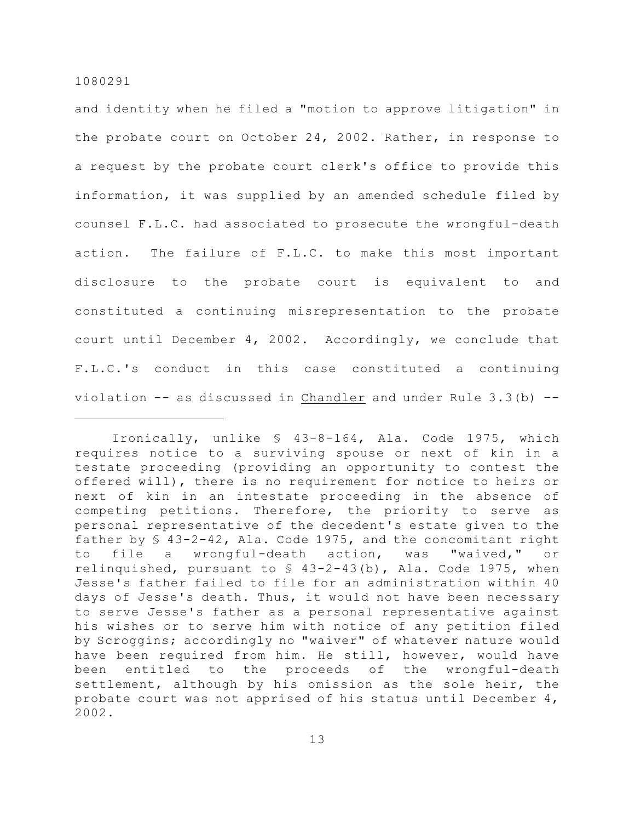and identity when he filed a "motion to approve litigation" in the probate court on October 24, 2002. Rather, in response to a request by the probate court clerk's office to provide this information, it was supplied by an amended schedule filed by counsel F.L.C. had associated to prosecute the wrongful-death action. The failure of F.L.C. to make this most important disclosure to the probate court is equivalent to and constituted a continuing misrepresentation to the probate court until December 4, 2002. Accordingly, we conclude that F.L.C.'s conduct in this case constituted a continuing violation  $--$  as discussed in Chandler and under Rule 3.3(b)  $--$ 

Ironically, unlike § 43-8-164, Ala. Code 1975, which requires notice to a surviving spouse or next of kin in a testate proceeding (providing an opportunity to contest the offered will), there is no requirement for notice to heirs or next of kin in an intestate proceeding in the absence of competing petitions. Therefore, the priority to serve as personal representative of the decedent's estate given to the father by  $\S$  43-2-42, Ala. Code 1975, and the concomitant right to file a wrongful-death action, was "waived," or relinquished, pursuant to  $\frac{1}{2}$  43-2-43(b), Ala. Code 1975, when Jesse's father failed to file for an administration within 40 days of Jesse's death. Thus, it would not have been necessary to serve Jesse's father as a personal representative against his wishes or to serve him with notice of any petition filed by Scroggins; accordingly no "waiver" of whatever nature would have been required from him. He still, however, would have been entitled to the proceeds of the wrongful-death settlement, although by his omission as the sole heir, the probate court was not apprised of his status until December 4, 2002.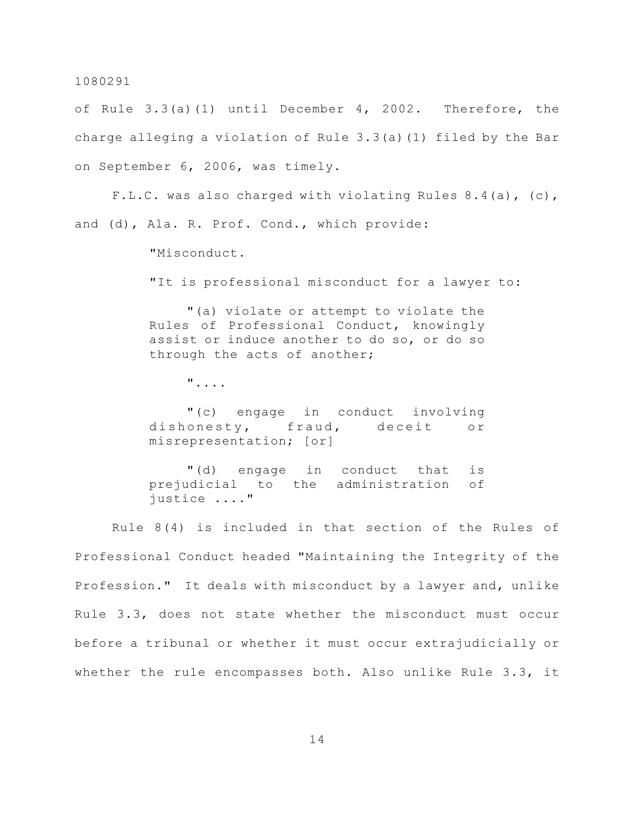of Rule 3.3(a)(1) until December 4, 2002. Therefore, the charge alleging a violation of Rule 3.3(a)(1) filed by the Bar on September 6, 2006, was timely.

F.L.C. was also charged with violating Rules  $8.4(a)$ , (c), and (d), Ala. R. Prof. Cond., which provide:

"Misconduct.

"It is professional misconduct for a lawyer to:

"(a) violate or attempt to violate the Rules of Professional Conduct, knowingly assist or induce another to do so, or do so through the acts of another;

"....

"(c) engage in conduct involving dishonesty, fraud, deceit or misrepresentation; [or]

"(d) engage in conduct that is prejudicial to the administration of justice ...."

Rule 8(4) is included in that section of the Rules of Professional Conduct headed "Maintaining the Integrity of the Profession." It deals with misconduct by a lawyer and, unlike Rule 3.3, does not state whether the misconduct must occur before a tribunal or whether it must occur extrajudicially or whether the rule encompasses both. Also unlike Rule 3.3, it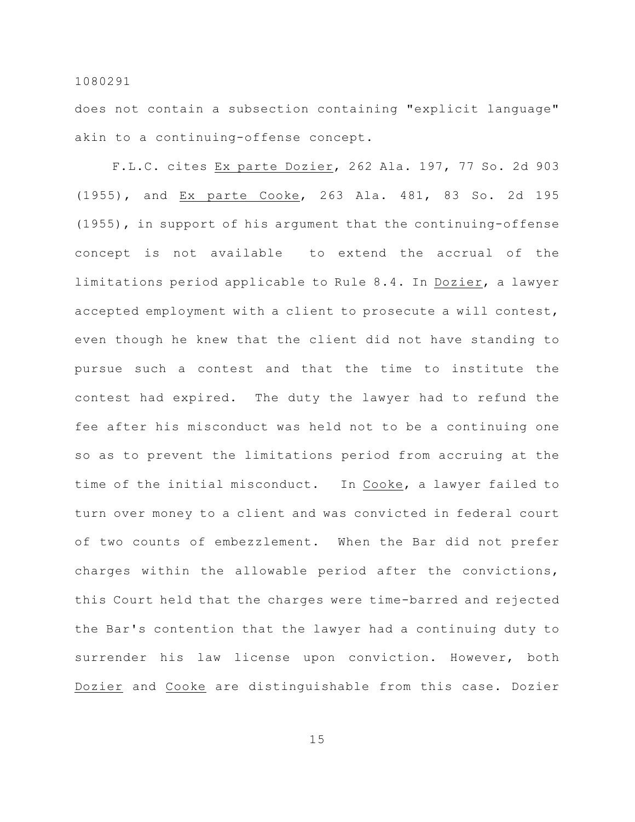does not contain a subsection containing "explicit language" akin to a continuing-offense concept.

F.L.C. cites Ex parte Dozier, 262 Ala. 197, 77 So. 2d 903 (1955), and Ex parte Cooke, 263 Ala. 481, 83 So. 2d 195 (1955), in support of his argument that the continuing-offense concept is not available to extend the accrual of the limitations period applicable to Rule 8.4. In Dozier, a lawyer accepted employment with a client to prosecute a will contest, even though he knew that the client did not have standing to pursue such a contest and that the time to institute the contest had expired. The duty the lawyer had to refund the fee after his misconduct was held not to be a continuing one so as to prevent the limitations period from accruing at the time of the initial misconduct. In Cooke, a lawyer failed to turn over money to a client and was convicted in federal court of two counts of embezzlement. When the Bar did not prefer charges within the allowable period after the convictions, this Court held that the charges were time-barred and rejected the Bar's contention that the lawyer had a continuing duty to surrender his law license upon conviction. However, both Dozier and Cooke are distinguishable from this case. Dozier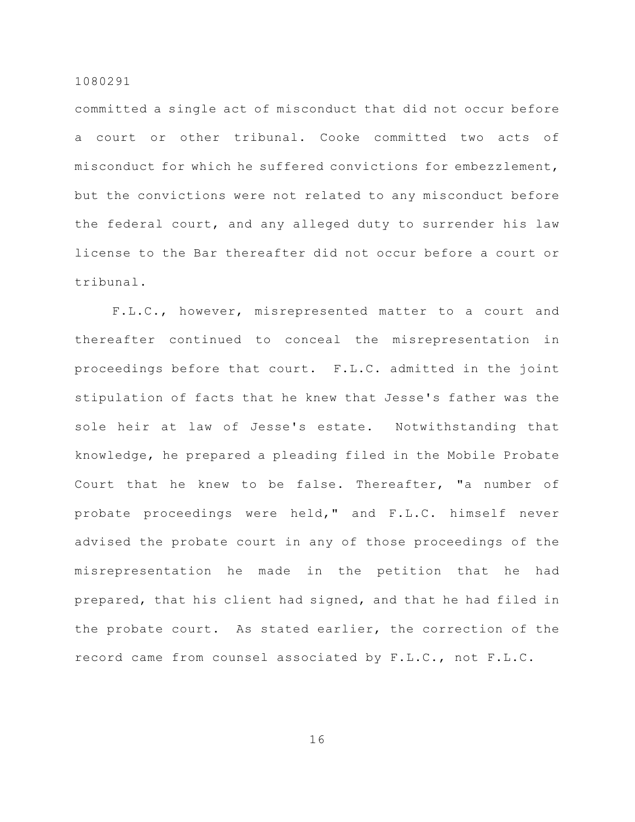committed a single act of misconduct that did not occur before a court or other tribunal. Cooke committed two acts of misconduct for which he suffered convictions for embezzlement, but the convictions were not related to any misconduct before the federal court, and any alleged duty to surrender his law license to the Bar thereafter did not occur before a court or tribunal.

F.L.C., however, misrepresented matter to a court and thereafter continued to conceal the misrepresentation in proceedings before that court. F.L.C. admitted in the joint stipulation of facts that he knew that Jesse's father was the sole heir at law of Jesse's estate. Notwithstanding that knowledge, he prepared a pleading filed in the Mobile Probate Court that he knew to be false. Thereafter, "a number of probate proceedings were held," and F.L.C. himself never advised the probate court in any of those proceedings of the misrepresentation he made in the petition that he had prepared, that his client had signed, and that he had filed in the probate court. As stated earlier, the correction of the record came from counsel associated by F.L.C., not F.L.C.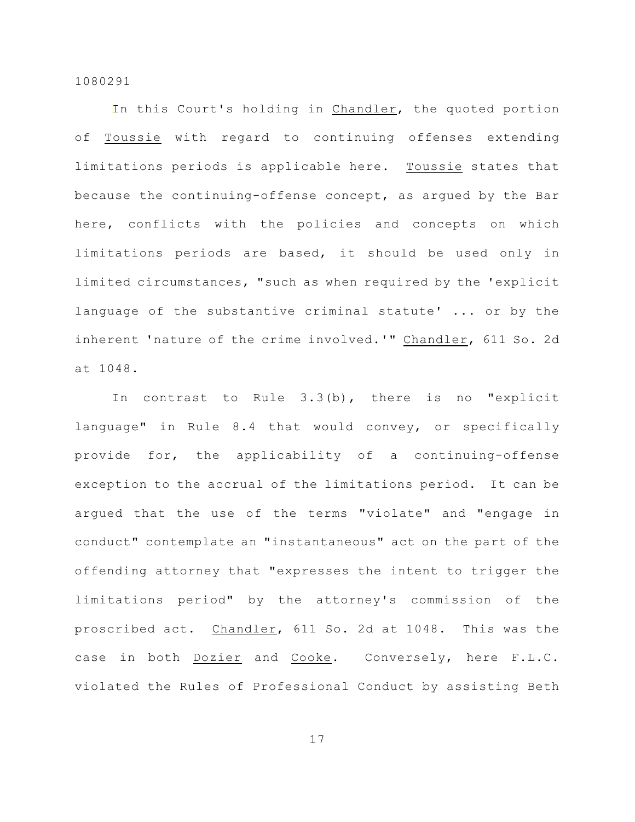In this Court's holding in Chandler, the quoted portion of Toussie with regard to continuing offenses extending limitations periods is applicable here. Toussie states that because the continuing-offense concept, as argued by the Bar here, conflicts with the policies and concepts on which limitations periods are based, it should be used only in limited circumstances, "such as when required by the 'explicit language of the substantive criminal statute' ... or by the inherent 'nature of the crime involved.'" Chandler, 611 So. 2d at 1048.

In contrast to Rule 3.3(b), there is no "explicit language" in Rule 8.4 that would convey, or specifically provide for, the applicability of a continuing-offense exception to the accrual of the limitations period. It can be argued that the use of the terms "violate" and "engage in conduct" contemplate an "instantaneous" act on the part of the offending attorney that "expresses the intent to trigger the limitations period" by the attorney's commission of the proscribed act. Chandler, 611 So. 2d at 1048. This was the case in both Dozier and Cooke. Conversely, here F.L.C. violated the Rules of Professional Conduct by assisting Beth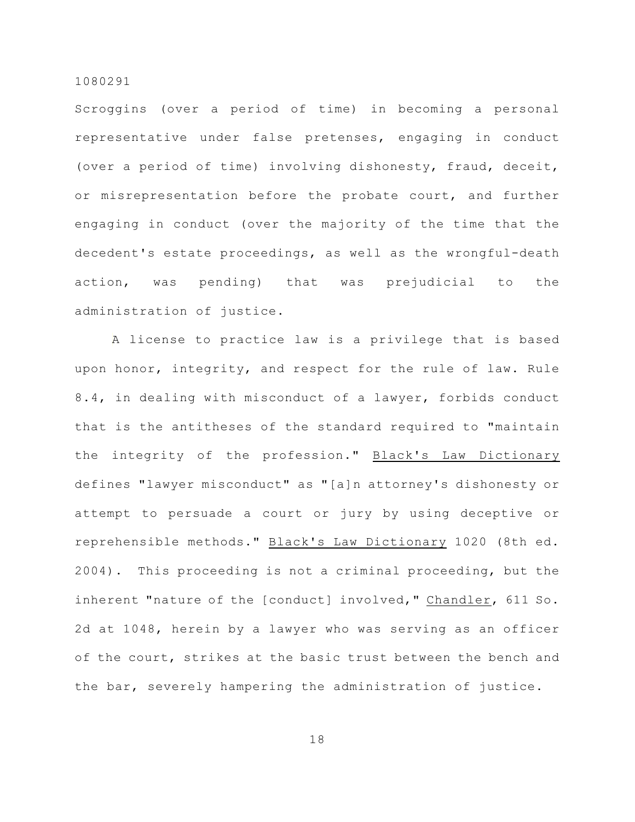Scroggins (over a period of time) in becoming a personal representative under false pretenses, engaging in conduct (over a period of time) involving dishonesty, fraud, deceit, or misrepresentation before the probate court, and further engaging in conduct (over the majority of the time that the decedent's estate proceedings, as well as the wrongful-death action, was pending) that was prejudicial to the administration of justice.

A license to practice law is a privilege that is based upon honor, integrity, and respect for the rule of law. Rule 8.4, in dealing with misconduct of a lawyer, forbids conduct that is the antitheses of the standard required to "maintain the integrity of the profession." Black's Law Dictionary defines "lawyer misconduct" as "[a]n attorney's dishonesty or attempt to persuade a court or jury by using deceptive or reprehensible methods." Black's Law Dictionary 1020 (8th ed. 2004). This proceeding is not a criminal proceeding, but the inherent "nature of the [conduct] involved," Chandler, 611 So. 2d at 1048, herein by a lawyer who was serving as an officer of the court, strikes at the basic trust between the bench and the bar, severely hampering the administration of justice.